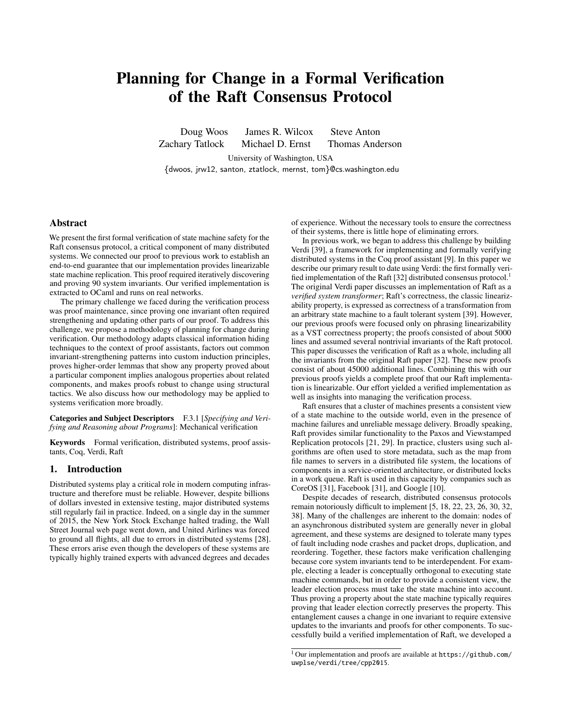# Planning for Change in a Formal Verification of the Raft Consensus Protocol

Doug Woos James R. Wilcox Steve Anton Zachary Tatlock Michael D. Ernst Thomas Anderson University of Washington, USA {dwoos, jrw12, santon, ztatlock, mernst, tom}@cs.washington.edu

## Abstract

We present the first formal verification of state machine safety for the Raft consensus protocol, a critical component of many distributed systems. We connected our proof to previous work to establish an end-to-end guarantee that our implementation provides linearizable state machine replication. This proof required iteratively discovering and proving 90 system invariants. Our verified implementation is extracted to OCaml and runs on real networks.

The primary challenge we faced during the verification process was proof maintenance, since proving one invariant often required strengthening and updating other parts of our proof. To address this challenge, we propose a methodology of planning for change during verification. Our methodology adapts classical information hiding techniques to the context of proof assistants, factors out common invariant-strengthening patterns into custom induction principles, proves higher-order lemmas that show any property proved about a particular component implies analogous properties about related components, and makes proofs robust to change using structural tactics. We also discuss how our methodology may be applied to systems verification more broadly.

Categories and Subject Descriptors F.3.1 [*Specifying and Verifying and Reasoning about Programs*]: Mechanical verification

Keywords Formal verification, distributed systems, proof assistants, Coq, Verdi, Raft

## 1. Introduction

Distributed systems play a critical role in modern computing infrastructure and therefore must be reliable. However, despite billions of dollars invested in extensive testing, major distributed systems still regularly fail in practice. Indeed, on a single day in the summer of 2015, the New York Stock Exchange halted trading, the Wall Street Journal web page went down, and United Airlines was forced to ground all flights, all due to errors in distributed systems [\[28\]](#page-11-0). These errors arise even though the developers of these systems are typically highly trained experts with advanced degrees and decades

of experience. Without the necessary tools to ensure the correctness of their systems, there is little hope of eliminating errors.

In previous work, we began to address this challenge by building Verdi [\[39\]](#page-11-1), a framework for implementing and formally verifying distributed systems in the Coq proof assistant [\[9\]](#page-11-2). In this paper we describe our primary result to date using Verdi: the first formally veri-fied implementation of the Raft [\[32\]](#page-11-3) distributed consensus protocol.<sup>[1](#page-0-0)</sup> The original Verdi paper discusses an implementation of Raft as a *verified system transformer*; Raft's correctness, the classic linearizability property, is expressed as correctness of a transformation from an arbitrary state machine to a fault tolerant system [\[39\]](#page-11-1). However, our previous proofs were focused only on phrasing linearizability as a VST correctness property; the proofs consisted of about 5000 lines and assumed several nontrivial invariants of the Raft protocol. This paper discusses the verification of Raft as a whole, including all the invariants from the original Raft paper [\[32\]](#page-11-3). These new proofs consist of about 45000 additional lines. Combining this with our previous proofs yields a complete proof that our Raft implementation is linearizable. Our effort yielded a verified implementation as well as insights into managing the verification process.

Raft ensures that a cluster of machines presents a consistent view of a state machine to the outside world, even in the presence of machine failures and unreliable message delivery. Broadly speaking, Raft provides similar functionality to the Paxos and Viewstamped Replication protocols [\[21,](#page-11-4) [29\]](#page-11-5). In practice, clusters using such algorithms are often used to store metadata, such as the map from file names to servers in a distributed file system, the locations of components in a service-oriented architecture, or distributed locks in a work queue. Raft is used in this capacity by companies such as CoreOS [\[31\]](#page-11-6), Facebook [\[31\]](#page-11-6), and Google [\[10\]](#page-11-7).

Despite decades of research, distributed consensus protocols remain notoriously difficult to implement [\[5,](#page-11-8) [18,](#page-11-9) [22,](#page-11-10) [23,](#page-11-11) [26,](#page-11-12) [30,](#page-11-13) [32,](#page-11-3) [38\]](#page-11-14). Many of the challenges are inherent to the domain: nodes of an asynchronous distributed system are generally never in global agreement, and these systems are designed to tolerate many types of fault including node crashes and packet drops, duplication, and reordering. Together, these factors make verification challenging because core system invariants tend to be interdependent. For example, electing a leader is conceptually orthogonal to executing state machine commands, but in order to provide a consistent view, the leader election process must take the state machine into account. Thus proving a property about the state machine typically requires proving that leader election correctly preserves the property. This entanglement causes a change in one invariant to require extensive updates to the invariants and proofs for other components. To successfully build a verified implementation of Raft, we developed a

<span id="page-0-0"></span> $1$  Our implementation and proofs are available at  $https://github.com/$ [uwplse/verdi/tree/cpp2015](https://github.com/uwplse/verdi/tree/cpp2015).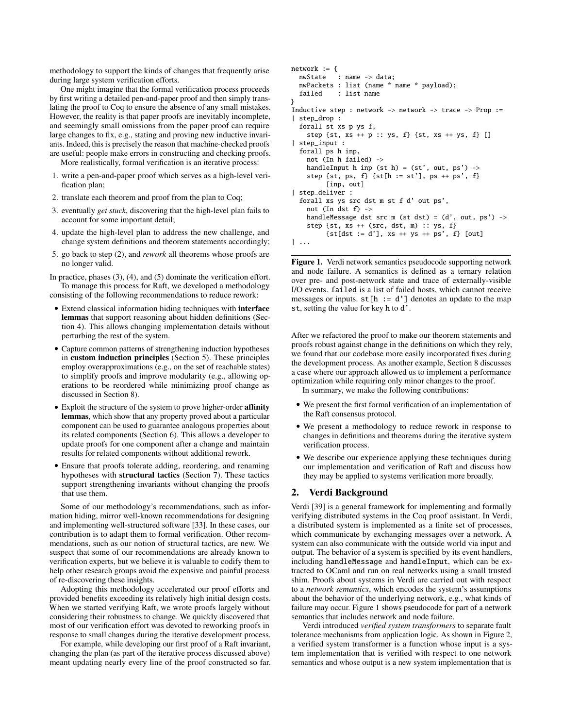methodology to support the kinds of changes that frequently arise during large system verification efforts.

One might imagine that the formal verification process proceeds by first writing a detailed pen-and-paper proof and then simply translating the proof to Coq to ensure the absence of any small mistakes. However, the reality is that paper proofs are inevitably incomplete, and seemingly small omissions from the paper proof can require large changes to fix, e.g., stating and proving new inductive invariants. Indeed, this is precisely the reason that machine-checked proofs are useful: people make errors in constructing and checking proofs.

More realistically, formal verification is an iterative process:

- 1. write a pen-and-paper proof which serves as a high-level verification plan;
- <span id="page-1-0"></span>2. translate each theorem and proof from the plan to Coq;
- <span id="page-1-1"></span>3. eventually *get stuck*, discovering that the high-level plan fails to account for some important detail;
- <span id="page-1-2"></span>4. update the high-level plan to address the new challenge, and change system definitions and theorem statements accordingly;
- <span id="page-1-3"></span>5. go back to step [\(2\)](#page-1-0), and *rework* all theorems whose proofs are no longer valid.

In practice, phases [\(3\)](#page-1-1), [\(4\)](#page-1-2), and [\(5\)](#page-1-3) dominate the verification effort. To manage this process for Raft, we developed a methodology consisting of the following recommendations to reduce rework:

- Extend classical information hiding techniques with interface lemmas that support reasoning about hidden definitions (Section [4\)](#page-5-0). This allows changing implementation details without perturbing the rest of the system.
- Capture common patterns of strengthening induction hypotheses in custom induction principles (Section [5\)](#page-6-0). These principles employ overapproximations (e.g., on the set of reachable states) to simplify proofs and improve modularity (e.g., allowing operations to be reordered while minimizing proof change as discussed in Section [8\)](#page-9-0).
- Exploit the structure of the system to prove higher-order **affinity** lemmas, which show that any property proved about a particular component can be used to guarantee analogous properties about its related components (Section [6\)](#page-7-0). This allows a developer to update proofs for one component after a change and maintain results for related components without additional rework.
- Ensure that proofs tolerate adding, reordering, and renaming hypotheses with structural tactics (Section [7\)](#page-8-0). These tactics support strengthening invariants without changing the proofs that use them.

Some of our methodology's recommendations, such as information hiding, mirror well-known recommendations for designing and implementing well-structured software [\[33\]](#page-11-15). In these cases, our contribution is to adapt them to formal verification. Other recommendations, such as our notion of structural tactics, are new. We suspect that some of our recommendations are already known to verification experts, but we believe it is valuable to codify them to help other research groups avoid the expensive and painful process of re-discovering these insights.

Adopting this methodology accelerated our proof efforts and provided benefits exceeding its relatively high initial design costs. When we started verifying Raft, we wrote proofs largely without considering their robustness to change. We quickly discovered that most of our verification effort was devoted to reworking proofs in response to small changes during the iterative development process.

For example, while developing our first proof of a Raft invariant, changing the plan (as part of the iterative process discussed above) meant updating nearly every line of the proof constructed so far.

```
network := fnwState : name -> data;
 nwPackets : list (name * name * payload);
  failed : list name
}
Inductive step : network -> network -> trace -> Prop :=
| step_drop :
  forall st xs p ys f,
   step {st, xs ++ p :: ys, f} {st, xs ++ ys, f} []
| step_input :
  forall ps h inp,
    not (In h failed) ->
   handleInput h inp (st h) = (st', out, ps') ->
    step {st, ps, f} {st[h := st'], ps ++ ps', f}
         [inp, out]
| step_deliver :
  forall xs ys src dst m st f d' out ps',
    not (In dst f) ->
   handleMessage dst src m (st dst) = (d', out, ps') ->
    step \{st, xs + (src, dst, m) :: ys, f\}{st[dst := d'], xs ++ ys ++ ps', f}[out]| ...
```
<span id="page-1-4"></span>Figure 1. Verdi network semantics pseudocode supporting network and node failure. A semantics is defined as a ternary relation over pre- and post-network state and trace of externally-visible I/O events. failed is a list of failed hosts, which cannot receive messages or inputs.  $st[h := d']$  denotes an update to the map st, setting the value for key h to d'.

After we refactored the proof to make our theorem statements and proofs robust against change in the definitions on which they rely, we found that our codebase more easily incorporated fixes during the development process. As another example, Section [8](#page-9-0) discusses a case where our approach allowed us to implement a performance optimization while requiring only minor changes to the proof.

In summary, we make the following contributions:

- We present the first formal verification of an implementation of the Raft consensus protocol.
- We present a methodology to reduce rework in response to changes in definitions and theorems during the iterative system verification process.
- We describe our experience applying these techniques during our implementation and verification of Raft and discuss how they may be applied to systems verification more broadly.

## 2. Verdi Background

Verdi [\[39\]](#page-11-1) is a general framework for implementing and formally verifying distributed systems in the Coq proof assistant. In Verdi, a distributed system is implemented as a finite set of processes, which communicate by exchanging messages over a network. A system can also communicate with the outside world via input and output. The behavior of a system is specified by its event handlers, including handleMessage and handleInput, which can be extracted to OCaml and run on real networks using a small trusted shim. Proofs about systems in Verdi are carried out with respect to a *network semantics*, which encodes the system's assumptions about the behavior of the underlying network, e.g., what kinds of failure may occur. Figure [1](#page-1-4) shows pseudocode for part of a network semantics that includes network and node failure.

Verdi introduced *verified system transformers* to separate fault tolerance mechanisms from application logic. As shown in Figure [2,](#page-2-0) a verified system transformer is a function whose input is a system implementation that is verified with respect to one network semantics and whose output is a new system implementation that is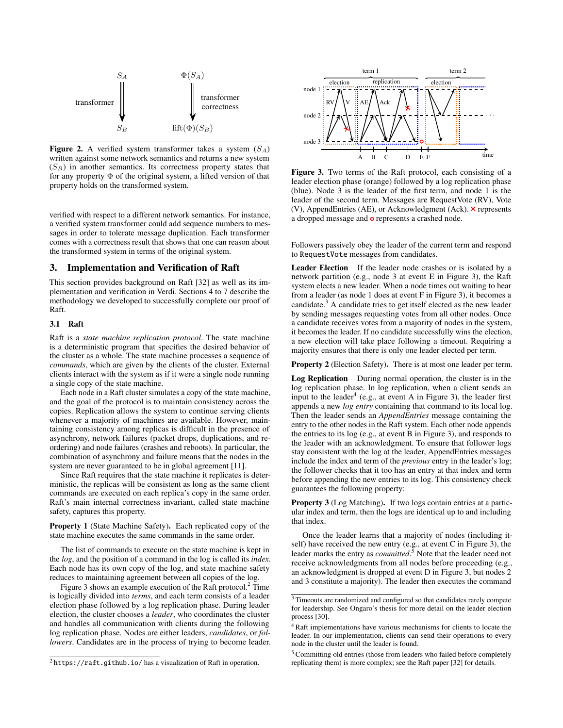

<span id="page-2-0"></span>Figure 2. A verified system transformer takes a system  $(S_A)$ written against some network semantics and returns a new system  $(S_B)$  in another semantics. Its correctness property states that for any property  $\Phi$  of the original system, a lifted version of that property holds on the transformed system.

verified with respect to a different network semantics. For instance, a verified system transformer could add sequence numbers to messages in order to tolerate message duplication. Each transformer comes with a correctness result that shows that one can reason about the transformed system in terms of the original system.

## 3. Implementation and Verification of Raft

This section provides background on Raft [\[32\]](#page-11-3) as well as its implementation and verification in Verdi. Sections [4](#page-5-0) to [7](#page-8-0) describe the methodology we developed to successfully complete our proof of Raft.

## <span id="page-2-12"></span>3.1 Raft

Raft is a *state machine replication protocol*. The state machine is a deterministic program that specifies the desired behavior of the cluster as a whole. The state machine processes a sequence of *commands*, which are given by the clients of the cluster. External clients interact with the system as if it were a single node running a single copy of the state machine.

Each node in a Raft cluster simulates a copy of the state machine, and the goal of the protocol is to maintain consistency across the copies. Replication allows the system to continue serving clients whenever a majority of machines are available. However, maintaining consistency among replicas is difficult in the presence of asynchrony, network failures (packet drops, duplications, and reordering) and node failures (crashes and reboots). In particular, the combination of asynchrony and failure means that the nodes in the system are never guaranteed to be in global agreement [\[11\]](#page-11-16).

Since Raft requires that the state machine it replicates is deterministic, the replicas will be consistent as long as the same client commands are executed on each replica's copy in the same order. Raft's main internal correctness invariant, called state machine safety, captures this property.

<span id="page-2-13"></span>Property 1 (State Machine Safety). Each replicated copy of the state machine executes the same commands in the same order.

The list of commands to execute on the state machine is kept in the *log*, and the position of a command in the log is called its *index*. Each node has its own copy of the log, and state machine safety reduces to maintaining agreement between all copies of the log.

Figure [3](#page-2-1) shows an example execution of the Raft protocol.<sup>[2](#page-2-2)</sup> Time is logically divided into *terms*, and each term consists of a leader election phase followed by a log replication phase. During leader election, the cluster chooses a *leader*, who coordinates the cluster and handles all communication with clients during the following log replication phase. Nodes are either leaders, *candidates*, or *followers*. Candidates are in the process of trying to become leader.

<span id="page-2-2"></span>



<span id="page-2-11"></span><span id="page-2-9"></span><span id="page-2-8"></span><span id="page-2-7"></span><span id="page-2-4"></span><span id="page-2-3"></span><span id="page-2-1"></span>Figure 3. Two terms of the Raft protocol, each consisting of a leader election phase (orange) followed by a log replication phase (blue). Node 3 is the leader of the first term, and node 1 is the leader of the second term. Messages are RequestVote (RV), Vote (V), AppendEntries (AE), or Acknowledgment (Ack).  $\times$  represents a dropped message and  $\circ$  represents a crashed node.

Followers passively obey the leader of the current term and respond to RequestVote messages from candidates.

Leader Election If the leader node crashes or is isolated by a network partition (e.g., node 3 at event [E](#page-2-3) in Figure [3\)](#page-2-1), the Raft system elects a new leader. When a node times out waiting to hear from a leader (as node 1 does at event [F](#page-2-4) in Figure [3\)](#page-2-1), it becomes a candidate. $3$  A candidate tries to get itself elected as the new leader by sending messages requesting votes from all other nodes. Once a candidate receives votes from a majority of nodes in the system, it becomes the leader. If no candidate successfully wins the election, a new election will take place following a timeout. Requiring a majority ensures that there is only one leader elected per term.

Property 2 (Election Safety). There is at most one leader per term.

Log Replication During normal operation, the cluster is in the log replication phase. In log replication, when a client sends an input to the leader<sup>[4](#page-2-6)</sup> (e.g., at event [A](#page-2-7) in Figure [3\)](#page-2-1), the leader first appends a new *log entry* containing that command to its local log. Then the leader sends an *AppendEntries* message containing the entry to the other nodes in the Raft system. Each other node appends the entries to its log (e.g., at event [B](#page-2-8) in Figure [3\)](#page-2-1), and responds to the leader with an acknowledgment. To ensure that follower logs stay consistent with the log at the leader, AppendEntries messages include the index and term of the *previous* entry in the leader's log; the follower checks that it too has an entry at that index and term before appending the new entries to its log. This consistency check guarantees the following property:

Property 3 (Log Matching). If two logs contain entries at a particular index and term, then the logs are identical up to and including that index.

Once the leader learns that a majority of nodes (including itself) have received the new entry (e.g., at event [C](#page-2-9) in Figure [3\)](#page-2-1), the leader marks the entry as *committed*. [5](#page-2-10) Note that the leader need not receive acknowledgments from all nodes before proceeding (e.g., an acknowledgment is dropped at event [D](#page-2-11) in Figure [3,](#page-2-1) but nodes 2 and 3 constitute a majority). The leader then executes the command

<span id="page-2-5"></span><sup>3</sup> Timeouts are randomized and configured so that candidates rarely compete for leadership. See Ongaro's thesis for more detail on the leader election process [\[30\]](#page-11-13).

<span id="page-2-6"></span><sup>4</sup> Raft implementations have various mechanisms for clients to locate the leader. In our implementation, clients can send their operations to every node in the cluster until the leader is found.

<span id="page-2-10"></span><sup>&</sup>lt;sup>5</sup> Committing old entries (those from leaders who failed before completely replicating them) is more complex; see the Raft paper [\[32\]](#page-11-3) for details.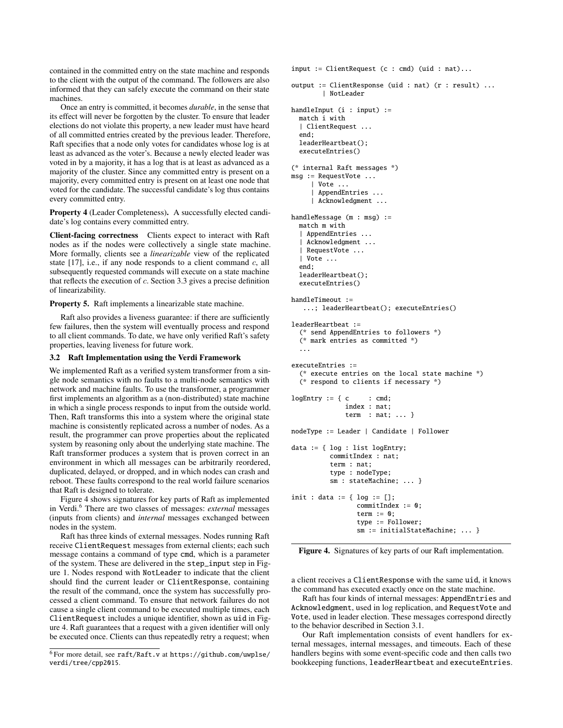contained in the committed entry on the state machine and responds to the client with the output of the command. The followers are also informed that they can safely execute the command on their state machines.

Once an entry is committed, it becomes *durable*, in the sense that its effect will never be forgotten by the cluster. To ensure that leader elections do not violate this property, a new leader must have heard of all committed entries created by the previous leader. Therefore, Raft specifies that a node only votes for candidates whose log is at least as advanced as the voter's. Because a newly elected leader was voted in by a majority, it has a log that is at least as advanced as a majority of the cluster. Since any committed entry is present on a majority, every committed entry is present on at least one node that voted for the candidate. The successful candidate's log thus contains every committed entry.

Property 4 (Leader Completeness). A successfully elected candidate's log contains every committed entry.

Client-facing correctness Clients expect to interact with Raft nodes as if the nodes were collectively a single state machine. More formally, clients see a *linearizable* view of the replicated state  $[17]$ , i.e., if any node responds to a client command  $c$ , all subsequently requested commands will execute on a state machine that reflects the execution of c. Section [3.3](#page-4-0) gives a precise definition of linearizability.

Property 5. Raft implements a linearizable state machine.

Raft also provides a liveness guarantee: if there are sufficiently few failures, then the system will eventually process and respond to all client commands. To date, we have only verified Raft's safety properties, leaving liveness for future work.

#### <span id="page-3-2"></span>3.2 Raft Implementation using the Verdi Framework

We implemented Raft as a verified system transformer from a single node semantics with no faults to a multi-node semantics with network and machine faults. To use the transformer, a programmer first implements an algorithm as a (non-distributed) state machine in which a single process responds to input from the outside world. Then, Raft transforms this into a system where the original state machine is consistently replicated across a number of nodes. As a result, the programmer can prove properties about the replicated system by reasoning only about the underlying state machine. The Raft transformer produces a system that is proven correct in an environment in which all messages can be arbitrarily reordered, duplicated, delayed, or dropped, and in which nodes can crash and reboot. These faults correspond to the real world failure scenarios that Raft is designed to tolerate.

Figure [4](#page-3-0) shows signatures for key parts of Raft as implemented in Verdi.[6](#page-3-1) There are two classes of messages: *external* messages (inputs from clients) and *internal* messages exchanged between nodes in the system.

Raft has three kinds of external messages. Nodes running Raft receive ClientRequest messages from external clients; each such message contains a command of type cmd, which is a parameter of the system. These are delivered in the step\_input step in Figure [1.](#page-1-4) Nodes respond with NotLeader to indicate that the client should find the current leader or ClientResponse, containing the result of the command, once the system has successfully processed a client command. To ensure that network failures do not cause a single client command to be executed multiple times, each ClientRequest includes a unique identifier, shown as uid in Figure [4.](#page-3-0) Raft guarantees that a request with a given identifier will only be executed once. Clients can thus repeatedly retry a request; when

 $input := ClientRequest (c : cmd) (uid : nat)...$ 

```
output := ClientResponse (uid : nat) (r : result) ...
        | NotLeader
handleInput (i : input) :=
  match i with
  | ClientRequest ...
  end;
  leaderHeartbeat();
  executeEntries()
(* internal Raft messages *)
msg := RequestVote ...
     | Vote ...
       AppendEntries ...
       | Acknowledgment ...
handleMessage (m : msg) :=
  match m with
   | AppendEntries ...
    | Acknowledgment ...
    RequestVote ...
   Vote ...
  end;
  leaderHeartbeat();
  executeEntries()
handleTimeout :=
   ...; leaderHeartbeat(); executeEntries()
leaderHeartbeat :=
  (* send AppendEntries to followers *)
  (* mark entries as committed *)
  ...
executeEntries :=
  (* execute entries on the local state machine *)
  (* respond to clients if necessary *)
loafntry := \{ c : cmd:index : nat;
              term : nat; ... }
nodeType := Leader | Candidate | Follower
data := { log : list logEntry;
          commitIndex : nat;
          term : nat;
          type : nodeType;
          sm : stateMachine; ... }
init : data := { log := [];
                 commitIndex := 0;
                 term := 0:
                 type := Follower;
                 sm := initialStateMachine; ... }
```
<span id="page-3-0"></span>

a client receives a ClientResponse with the same uid, it knows the command has executed exactly once on the state machine.

Raft has four kinds of internal messages: AppendEntries and Acknowledgment, used in log replication, and RequestVote and Vote, used in leader election. These messages correspond directly to the behavior described in Section [3.1.](#page-2-12)

Our Raft implementation consists of event handlers for external messages, internal messages, and timeouts. Each of these handlers begins with some event-specific code and then calls two bookkeeping functions, leaderHeartbeat and executeEntries.

<span id="page-3-1"></span> $^6\!$  For more detail, see <code>raft/Raft.v</code> at <code>[https://github.com/uwplse/](https://github.com/uwplse/verdi/tree/cpp2015)</code> [verdi/tree/cpp2015](https://github.com/uwplse/verdi/tree/cpp2015).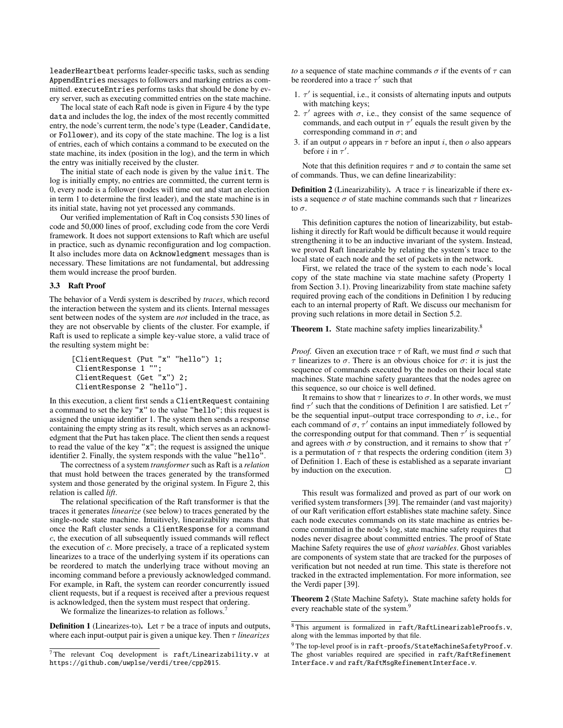leaderHeartbeat performs leader-specific tasks, such as sending AppendEntries messages to followers and marking entries as committed. executeEntries performs tasks that should be done by every server, such as executing committed entries on the state machine.

The local state of each Raft node is given in Figure [4](#page-3-0) by the type data and includes the log, the index of the most recently committed entry, the node's current term, the node's type (Leader, Candidate, or Follower), and its copy of the state machine. The log is a list of entries, each of which contains a command to be executed on the state machine, its index (position in the log), and the term in which the entry was initially received by the cluster.

The initial state of each node is given by the value init. The log is initially empty, no entries are committed, the current term is 0, every node is a follower (nodes will time out and start an election in term 1 to determine the first leader), and the state machine is in its initial state, having not yet processed any commands.

Our verified implementation of Raft in Coq consists 530 lines of code and 50,000 lines of proof, excluding code from the core Verdi framework. It does not support extensions to Raft which are useful in practice, such as dynamic reconfiguration and log compaction. It also includes more data on Acknowledgment messages than is necessary. These limitations are not fundamental, but addressing them would increase the proof burden.

#### <span id="page-4-0"></span>3.3 Raft Proof

The behavior of a Verdi system is described by *traces*, which record the interaction between the system and its clients. Internal messages sent between nodes of the system are *not* included in the trace, as they are not observable by clients of the cluster. For example, if Raft is used to replicate a simple key-value store, a valid trace of the resulting system might be:

```
[ClientRequest (Put "x" "hello") 1;
 ClientResponse 1 "";
ClientRequest (Get "x") 2;
ClientResponse 2 "hello"].
```
In this execution, a client first sends a ClientRequest containing a command to set the key "x" to the value "hello"; this request is assigned the unique identifier 1. The system then sends a response containing the empty string as its result, which serves as an acknowledgment that the Put has taken place. The client then sends a request to read the value of the key "x"; the request is assigned the unique identifier 2. Finally, the system responds with the value "hello".

The correctness of a system *transformer* such as Raft is a *relation* that must hold between the traces generated by the transformed system and those generated by the original system. In Figure [2,](#page-2-0) this relation is called *lift*.

The relational specification of the Raft transformer is that the traces it generates *linearize* (see below) to traces generated by the single-node state machine. Intuitively, linearizability means that once the Raft cluster sends a ClientResponse for a command c, the execution of all subsequently issued commands will reflect the execution of c. More precisely, a trace of a replicated system linearizes to a trace of the underlying system if its operations can be reordered to match the underlying trace without moving an incoming command before a previously acknowledged command. For example, in Raft, the system can reorder concurrently issued client requests, but if a request is received after a previous request is acknowledged, then the system must respect that ordering.

We formalize the linearizes-to relation as follows.<sup>[7](#page-4-1)</sup>

<span id="page-4-2"></span>**Definition 1** (Linearizes-to). Let  $\tau$  be a trace of inputs and outputs, where each input-output pair is given a unique key. Then τ *linearizes*

*to* a sequence of state machine commands  $\sigma$  if the events of  $\tau$  can be reordered into a trace  $\tau'$  such that

- 1.  $\tau'$  is sequential, i.e., it consists of alternating inputs and outputs with matching keys;
- 2.  $\tau'$  agrees with  $\sigma$ , i.e., they consist of the same sequence of commands, and each output in  $\tau'$  equals the result given by the corresponding command in  $\sigma$ ; and
- <span id="page-4-4"></span>3. if an output  $o$  appears in  $\tau$  before an input i, then  $o$  also appears before  $i$  in  $\tau'$ .

Note that this definition requires  $\tau$  and  $\sigma$  to contain the same set of commands. Thus, we can define linearizability:

**Definition 2** (Linearizability). A trace  $\tau$  is linearizable if there exists a sequence  $\sigma$  of state machine commands such that  $\tau$  linearizes to  $\sigma$ .

This definition captures the notion of linearizability, but establishing it directly for Raft would be difficult because it would require strengthening it to be an inductive invariant of the system. Instead, we proved Raft linearizable by relating the system's trace to the local state of each node and the set of packets in the network.

First, we related the trace of the system to each node's local copy of the state machine via state machine safety (Property [1](#page-2-13) from Section [3.1\)](#page-2-12). Proving linearizability from state machine safety required proving each of the conditions in Definition [1](#page-4-2) by reducing each to an internal property of Raft. We discuss our mechanism for proving such relations in more detail in Section [5.2.](#page-6-1)

Theorem 1. State machine safety implies linearizability.<sup>[8](#page-4-3)</sup>

*Proof.* Given an execution trace  $\tau$  of Raft, we must find  $\sigma$  such that  $\tau$  linearizes to  $\sigma$ . There is an obvious choice for  $\sigma$ : it is just the sequence of commands executed by the nodes on their local state machines. State machine safety guarantees that the nodes agree on this sequence, so our choice is well defined.

It remains to show that  $\tau$  linearizes to  $\sigma$ . In other words, we must find  $\tau'$  such that the conditions of Definition [1](#page-4-2) are satisfied. Let  $\tau'$ be the sequential input–output trace corresponding to  $\sigma$ , i.e., for each command of  $\sigma$ ,  $\tau'$  contains an input immediately followed by the corresponding output for that command. Then  $\tau'$  is sequential and agrees with  $\sigma$  by construction, and it remains to show that  $\tau'$ is a permutation of  $\tau$  that respects the ordering condition (item [3\)](#page-4-4) of Definition [1.](#page-4-2) Each of these is established as a separate invariant by induction on the execution.  $\Box$ 

This result was formalized and proved as part of our work on verified system transformers [\[39\]](#page-11-1). The remainder (and vast majority) of our Raft verification effort establishes state machine safety. Since each node executes commands on its state machine as entries become committed in the node's log, state machine safety requires that nodes never disagree about committed entries. The proof of State Machine Safety requires the use of *ghost variables*. Ghost variables are components of system state that are tracked for the purposes of verification but not needed at run time. This state is therefore not tracked in the extracted implementation. For more information, see the Verdi paper [\[39\]](#page-11-1).

Theorem 2 (State Machine Safety). State machine safety holds for every reachable state of the system.<sup>[9](#page-4-5)</sup>

<span id="page-4-1"></span> $7$ The relevant Coq development is raft/Linearizability.v at <https://github.com/uwplse/verdi/tree/cpp2015>.

<span id="page-4-3"></span><sup>8</sup> This argument is formalized in raft/RaftLinearizableProofs.v, along with the lemmas imported by that file.

<span id="page-4-5"></span><sup>&</sup>lt;sup>9</sup> The top-level proof is in raft-proofs/StateMachineSafetyProof.v. The ghost variables required are specified in raft/RaftRefinement Interface.v and raft/RaftMsgRefinementInterface.v.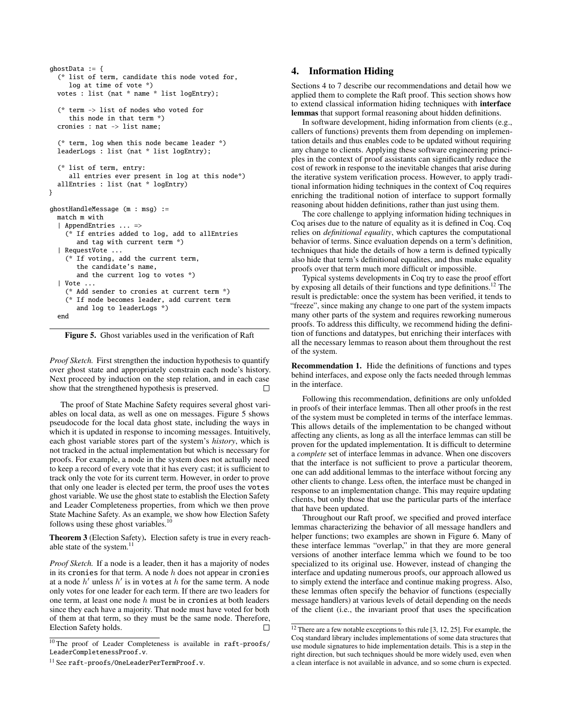```
ghostData := f(* list of term, candidate this node voted for,
    log at time of vote *)
  votes : list (nat * name * list logEntry);
  (* term -> list of nodes who voted for
    this node in that term *)
  cronies : nat -> list name;
  (* term, log when this node became leader *)
 leaderLogs : list (nat * list logEntry);
  (* list of term, entry:
    all entries ever present in log at this node*)
  allEntries : list (nat * logEntry)
}
ghostHandleMessage (m : msg) :=
 match m with
  | AppendEntries ... =>
    (* If entries added to log, add to allEntries
       and tag with current term *)
  | RequestVote ...
    (* If voting, add the current term,
       the candidate's name,
      and the current log to votes *)
  | Vote ...
    (* Add sender to cronies at current term *)
    (* If node becomes leader, add current term
       and log to leaderLogs *)
  end
```
<span id="page-5-1"></span>Figure 5. Ghost variables used in the verification of Raft

*Proof Sketch.* First strengthen the induction hypothesis to quantify over ghost state and appropriately constrain each node's history. Next proceed by induction on the step relation, and in each case show that the strengthened hypothesis is preserved.

The proof of State Machine Safety requires several ghost variables on local data, as well as one on messages. Figure [5](#page-5-1) shows pseudocode for the local data ghost state, including the ways in which it is updated in response to incoming messages. Intuitively, each ghost variable stores part of the system's *history*, which is not tracked in the actual implementation but which is necessary for proofs. For example, a node in the system does not actually need to keep a record of every vote that it has every cast; it is sufficient to track only the vote for its current term. However, in order to prove that only one leader is elected per term, the proof uses the votes ghost variable. We use the ghost state to establish the Election Safety and Leader Completeness properties, from which we then prove State Machine Safety. As an example, we show how Election Safety follows using these ghost variables.<sup>[10](#page-5-2)</sup>

Theorem 3 (Election Safety). Election safety is true in every reach-able state of the system.<sup>[11](#page-5-3)</sup>

*Proof Sketch.* If a node is a leader, then it has a majority of nodes in its cronies for that term. A node  $h$  does not appear in cronies at a node  $h'$  unless  $h'$  is in votes at  $h$  for the same term. A node only votes for one leader for each term. If there are two leaders for one term, at least one node h must be in cronies at both leaders since they each have a majority. That node must have voted for both of them at that term, so they must be the same node. Therefore, Election Safety holds. □

## <span id="page-5-0"></span>4. Information Hiding

Sections [4](#page-5-0) to [7](#page-8-0) describe our recommendations and detail how we applied them to complete the Raft proof. This section shows how to extend classical information hiding techniques with interface lemmas that support formal reasoning about hidden definitions.

In software development, hiding information from clients (e.g., callers of functions) prevents them from depending on implementation details and thus enables code to be updated without requiring any change to clients. Applying these software engineering principles in the context of proof assistants can significantly reduce the cost of rework in response to the inevitable changes that arise during the iterative system verification process. However, to apply traditional information hiding techniques in the context of Coq requires enriching the traditional notion of interface to support formally reasoning about hidden definitions, rather than just using them.

The core challenge to applying information hiding techniques in Coq arises due to the nature of equality as it is defined in Coq. Coq relies on *definitional equality*, which captures the computational behavior of terms. Since evaluation depends on a term's definition, techniques that hide the details of how a term is defined typically also hide that term's definitional equalites, and thus make equality proofs over that term much more difficult or impossible.

Typical systems developments in Coq try to ease the proof effort by exposing all details of their functions and type definitions.<sup>[12](#page-5-4)</sup> The result is predictable: once the system has been verified, it tends to "freeze", since making any change to one part of the system impacts many other parts of the system and requires reworking numerous proofs. To address this difficulty, we recommend hiding the definition of functions and datatypes, but enriching their interfaces with all the necessary lemmas to reason about them throughout the rest of the system.

Recommendation 1. Hide the definitions of functions and types behind interfaces, and expose only the facts needed through lemmas in the interface.

Following this recommendation, definitions are only unfolded in proofs of their interface lemmas. Then all other proofs in the rest of the system must be completed in terms of the interface lemmas. This allows details of the implementation to be changed without affecting any clients, as long as all the interface lemmas can still be proven for the updated implementation. It is difficult to determine a *complete* set of interface lemmas in advance. When one discovers that the interface is not sufficient to prove a particular theorem, one can add additional lemmas to the interface without forcing any other clients to change. Less often, the interface must be changed in response to an implementation change. This may require updating clients, but only those that use the particular parts of the interface that have been updated.

Throughout our Raft proof, we specified and proved interface lemmas characterizing the behavior of all message handlers and helper functions; two examples are shown in Figure [6.](#page-6-2) Many of these interface lemmas "overlap," in that they are more general versions of another interface lemma which we found to be too specialized to its original use. However, instead of changing the interface and updating numerous proofs, our approach allowed us to simply extend the interface and continue making progress. Also, these lemmas often specify the behavior of functions (especially message handlers) at various levels of detail depending on the needs of the client (i.e., the invariant proof that uses the specification

<span id="page-5-2"></span><sup>&</sup>lt;sup>10</sup> The proof of Leader Completeness is available in raft-proofs/ LeaderCompletenessProof.v.

<span id="page-5-3"></span><sup>11</sup> See raft-proofs/OneLeaderPerTermProof.v.

<span id="page-5-4"></span><sup>&</sup>lt;sup>12</sup> There are a few notable exceptions to this rule [\[3,](#page-11-18) [12,](#page-11-19) [25\]](#page-11-20). For example, the Coq standard library includes implementations of some data structures that use module signatures to hide implementation details. This is a step in the right direction, but such techniques should be more widely used, even when a clean interface is not available in advance, and so some churn is expected.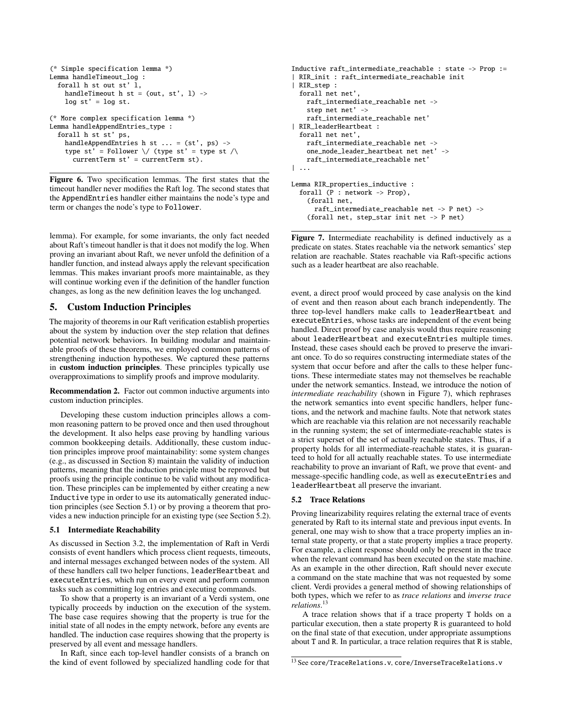```
(* Simple specification lemma *)
Lemma handleTimeout_log :
  forall h st out st' l,
   handleTimeout h st = (out, st', 1) ->
    log st' = log st.(* More complex specification lemma *)
Lemma handleAppendEntries_type :
  forall h st st' ps,
   handleAppendEntries h st ... = (st', ps) ->
    type st' = Follower \setminus (type st' = type st \setminuscurrentTerm st' = currentTerm st).
```
<span id="page-6-2"></span>Figure 6. Two specification lemmas. The first states that the timeout handler never modifies the Raft log. The second states that the AppendEntries handler either maintains the node's type and term or changes the node's type to Follower.

lemma). For example, for some invariants, the only fact needed about Raft's timeout handler is that it does not modify the log. When proving an invariant about Raft, we never unfold the definition of a handler function, and instead always apply the relevant specification lemmas. This makes invariant proofs more maintainable, as they will continue working even if the definition of the handler function changes, as long as the new definition leaves the log unchanged.

## <span id="page-6-0"></span>5. Custom Induction Principles

The majority of theorems in our Raft verification establish properties about the system by induction over the step relation that defines potential network behaviors. In building modular and maintainable proofs of these theorems, we employed common patterns of strengthening induction hypotheses. We captured these patterns in custom induction principles. These principles typically use overapproximations to simplify proofs and improve modularity.

Recommendation 2. Factor out common inductive arguments into custom induction principles.

Developing these custom induction principles allows a common reasoning pattern to be proved once and then used throughout the development. It also helps ease proving by handling various common bookkeeping details. Additionally, these custom induction principles improve proof maintainability: some system changes (e.g., as discussed in Section [8\)](#page-9-0) maintain the validity of induction patterns, meaning that the induction principle must be reproved but proofs using the principle continue to be valid without any modification. These principles can be implemented by either creating a new Inductive type in order to use its automatically generated induction principles (see Section [5.1\)](#page-6-3) or by proving a theorem that provides a new induction principle for an existing type (see Section [5.2\)](#page-6-1).

#### <span id="page-6-3"></span>5.1 Intermediate Reachability

As discussed in Section [3.2,](#page-3-2) the implementation of Raft in Verdi consists of event handlers which process client requests, timeouts, and internal messages exchanged between nodes of the system. All of these handlers call two helper functions, leaderHeartbeat and executeEntries, which run on every event and perform common tasks such as committing log entries and executing commands.

To show that a property is an invariant of a Verdi system, one typically proceeds by induction on the execution of the system. The base case requires showing that the property is true for the initial state of all nodes in the empty network, before any events are handled. The induction case requires showing that the property is preserved by all event and message handlers.

In Raft, since each top-level handler consists of a branch on the kind of event followed by specialized handling code for that

```
Inductive raft intermediate reachable : state \rightarrow Prop :=
| RIR_init : raft_intermediate_reachable init
| RIR_step :
  forall net net',
    raft_intermediate_reachable net ->
    step net net' ->
    raft_intermediate_reachable net'
| RIR_leaderHeartbeat :
  forall net net',
    raft_intermediate_reachable net ->
    one_node_leader_heartbeat net net' ->
    raft_intermediate_reachable net'
| ...
Lemma RIR_properties_inductive :
  forall (P : network -> Prop),
    (forall net,
      raft_intermediate_reachable net -> P net) ->
    (forall net, step_star init net -> P net)
```
<span id="page-6-4"></span>Figure 7. Intermediate reachability is defined inductively as a predicate on states. States reachable via the network semantics' step relation are reachable. States reachable via Raft-specific actions such as a leader heartbeat are also reachable.

event, a direct proof would proceed by case analysis on the kind of event and then reason about each branch independently. The three top-level handlers make calls to leaderHeartbeat and executeEntries, whose tasks are independent of the event being handled. Direct proof by case analysis would thus require reasoning about leaderHeartbeat and executeEntries multiple times. Instead, these cases should each be proved to preserve the invariant once. To do so requires constructing intermediate states of the system that occur before and after the calls to these helper functions. These intermediate states may not themselves be reachable under the network semantics. Instead, we introduce the notion of *intermediate reachability* (shown in Figure [7\)](#page-6-4), which rephrases the network semantics into event specific handlers, helper functions, and the network and machine faults. Note that network states which are reachable via this relation are not necessarily reachable in the running system; the set of intermediate-reachable states is a strict superset of the set of actually reachable states. Thus, if a property holds for all intermediate-reachable states, it is guaranteed to hold for all actually reachable states. To use intermediate reachability to prove an invariant of Raft, we prove that event- and message-specific handling code, as well as executeEntries and leaderHeartbeat all preserve the invariant.

#### <span id="page-6-1"></span>5.2 Trace Relations

Proving linearizability requires relating the external trace of events generated by Raft to its internal state and previous input events. In general, one may wish to show that a trace property implies an internal state property, or that a state property implies a trace property. For example, a client response should only be present in the trace when the relevant command has been executed on the state machine. As an example in the other direction, Raft should never execute a command on the state machine that was not requested by some client. Verdi provides a general method of showing relationships of both types, which we refer to as *trace relations* and *inverse trace relations*. [13](#page-6-5)

A trace relation shows that if a trace property T holds on a particular execution, then a state property R is guaranteed to hold on the final state of that execution, under appropriate assumptions about T and R. In particular, a trace relation requires that R is stable,

<span id="page-6-5"></span><sup>13</sup> See core/TraceRelations.v, core/InverseTraceRelations.v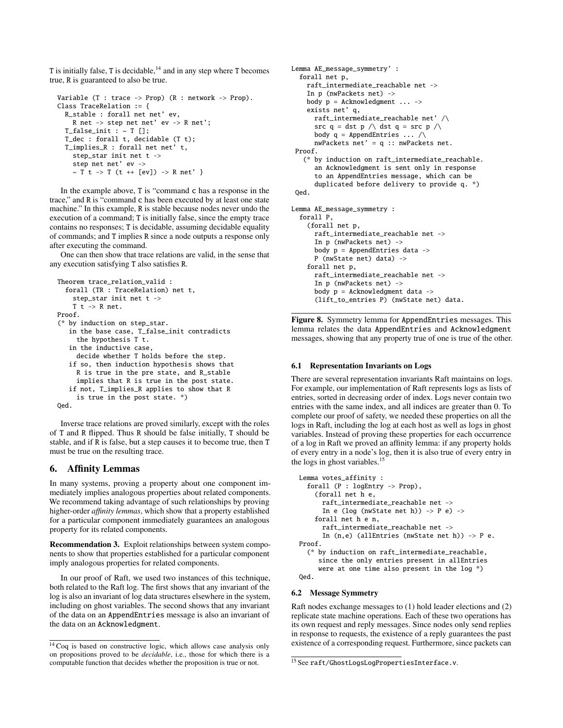T is initially false, T is decidable,<sup>[14](#page-7-1)</sup> and in any step where T becomes true, R is guaranteed to also be true.

```
Variable (T : trace \rightarrow Prop) (R : network \rightarrow Prop).
Class TraceRelation := {
 R_stable : forall net net' ev,
    R net -> step net net' ev -> R net';
  T_false_init : ~ T [];
 T_dec : forall t, decidable (T t);
 T_implies_R : forall net net' t,
    step_star init net t ->
    step net net' ev ->
    ~\sim T t -> T (t ++ [ev]) -> R net' }
```
In the example above, T is "command c has a response in the trace," and R is "command c has been executed by at least one state machine." In this example, R is stable because nodes never undo the execution of a command; T is initially false, since the empty trace contains no responses; T is decidable, assuming decidable equality of commands; and T implies R since a node outputs a response only after executing the command.

One can then show that trace relations are valid, in the sense that any execution satisfying T also satisfies R.

```
Theorem trace_relation_valid :
  forall (TR : TraceRelation) net t,
    step_star init net t ->
    T t \rightarrow R net.
Proof.
(* by induction on step_star.
   in the base case, T_false_init contradicts
     the hypothesis T t.
   in the inductive case,
     decide whether T holds before the step.
   if so, then induction hypothesis shows that
     R is true in the pre state, and R_stable
     implies that R is true in the post state.
   if not, T_implies_R applies to show that R
     is true in the post state. *)
Qed.
```
Inverse trace relations are proved similarly, except with the roles of T and R flipped. Thus R should be false initially, T should be stable, and if R is false, but a step causes it to become true, then T must be true on the resulting trace.

## <span id="page-7-0"></span>6. Affinity Lemmas

In many systems, proving a property about one component immediately implies analogous properties about related components. We recommend taking advantage of such relationships by proving higher-order *affinity lemmas*, which show that a property established for a particular component immediately guarantees an analogous property for its related components.

Recommendation 3. Exploit relationships between system components to show that properties established for a particular component imply analogous properties for related components.

In our proof of Raft, we used two instances of this technique, both related to the Raft log. The first shows that any invariant of the log is also an invariant of log data structures elsewhere in the system, including on ghost variables. The second shows that any invariant of the data on an AppendEntries message is also an invariant of the data on an Acknowledgment.

```
Lemma AE_message_symmetry' :
  forall net p,
    raft_intermediate_reachable net ->
    In p (nwPackets net) ->
    body p = Acknowledgment ... ->
    exists net' q,
      raft_intermediate_reachable net' /\
      src q = dst p \land dst q = src p \landbody q = AppendEntries ... \wedgenwPackets net' = q :: nwPackets net.
 Proof.
   (* by induction on raft_intermediate_reachable.
      an Acknowledgment is sent only in response
      to an AppendEntries message, which can be
      duplicated before delivery to provide q. *)
 Qed.
Lemma AE_message_symmetry :
  forall P,
    (forall net p,
      raft_intermediate_reachable net ->
      In p (nwPackets net) ->
      body p = AppendEntries data ->
      P (nwState net) data) ->
    forall net p,
      raft_intermediate_reachable net ->
      In p (nwPackets net) ->
      body p = Acknowledgment data ->
      (lift_to_entries P) (nwState net) data.
```
<span id="page-7-3"></span>Figure 8. Symmetry lemma for AppendEntries messages. This lemma relates the data AppendEntries and Acknowledgment messages, showing that any property true of one is true of the other.

#### 6.1 Representation Invariants on Logs

There are several representation invariants Raft maintains on logs. For example, our implementation of Raft represents logs as lists of entries, sorted in decreasing order of index. Logs never contain two entries with the same index, and all indices are greater than 0. To complete our proof of safety, we needed these properties on all the logs in Raft, including the log at each host as well as logs in ghost variables. Instead of proving these properties for each occurrence of a log in Raft we proved an affinity lemma: if any property holds of every entry in a node's log, then it is also true of every entry in the logs in ghost variables.<sup>[15](#page-7-2)</sup>

```
Lemma votes_affinity :
  forall (P : logEntry -> Prop),
    (forall net h e,
      raft_intermediate_reachable net ->
      In e (log (nwState net h)) \rightarrow P e) \rightarrowforall net h e n,
      raft_intermediate_reachable net ->
      In (n,e) (allEntries (nwState net h)) \rightarrow P e.
Proof.
  (* by induction on raft_intermediate_reachable,
     since the only entries present in allEntries
     were at one time also present in the log *)
Qed.
```
#### 6.2 Message Symmetry

Raft nodes exchange messages to (1) hold leader elections and (2) replicate state machine operations. Each of these two operations has its own request and reply messages. Since nodes only send replies in response to requests, the existence of a reply guarantees the past existence of a corresponding request. Furthermore, since packets can

<span id="page-7-1"></span><sup>14</sup> Coq is based on constructive logic, which allows case analysis only on propositions proved to be *decidable*, i.e., those for which there is a computable function that decides whether the proposition is true or not.

<span id="page-7-2"></span><sup>15</sup> See raft/GhostLogsLogPropertiesInterface.v.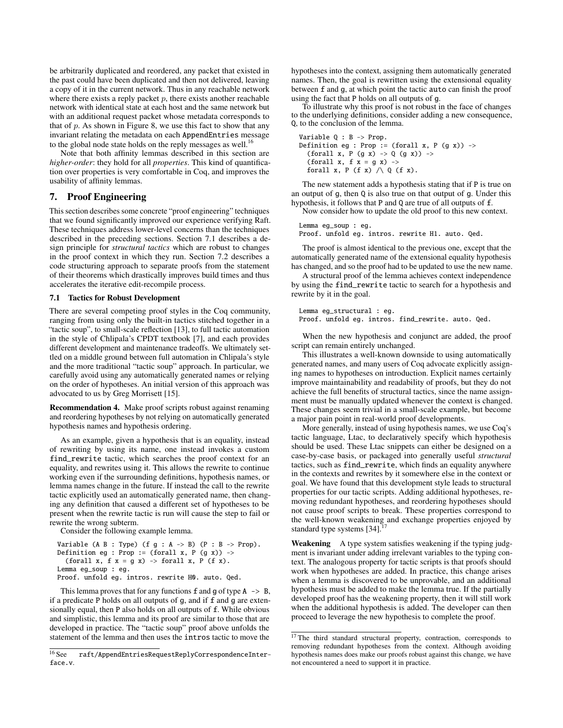be arbitrarily duplicated and reordered, any packet that existed in the past could have been duplicated and then not delivered, leaving a copy of it in the current network. Thus in any reachable network where there exists a reply packet  $p$ , there exists another reachable network with identical state at each host and the same network but with an additional request packet whose metadata corresponds to that of  $p$ . As shown in Figure [8,](#page-7-3) we use this fact to show that any invariant relating the metadata on each AppendEntries message to the global node state holds on the reply messages as well.<sup>[16](#page-8-1)</sup>

Note that both affinity lemmas described in this section are *higher-order*: they hold for all *properties*. This kind of quantification over properties is very comfortable in Coq, and improves the usability of affinity lemmas.

# <span id="page-8-0"></span>7. Proof Engineering

This section describes some concrete "proof engineering" techniques that we found significantly improved our experience verifying Raft. These techniques address lower-level concerns than the techniques described in the preceding sections. Section [7.1](#page-8-2) describes a design principle for *structural tactics* which are robust to changes in the proof context in which they run. Section [7.2](#page-9-1) describes a code structuring approach to separate proofs from the statement of their theorems which drastically improves build times and thus accelerates the iterative edit-recompile process.

#### <span id="page-8-2"></span>7.1 Tactics for Robust Development

There are several competing proof styles in the Coq community, ranging from using only the built-in tactics stitched together in a "tactic soup", to small-scale reflection [\[13\]](#page-11-21), to full tactic automation in the style of Chlipala's CPDT textbook [\[7\]](#page-11-22), and each provides different development and maintenance tradeoffs. We ultimately settled on a middle ground between full automation in Chlipala's style and the more traditional "tactic soup" approach. In particular, we carefully avoid using any automatically generated names or relying on the order of hypotheses. An initial version of this approach was advocated to us by [Greg Morrisett](#page-11-23) [\[15\]](#page-11-23).

Recommendation 4. Make proof scripts robust against renaming and reordering hypotheses by not relying on automatically generated hypothesis names and hypothesis ordering.

As an example, given a hypothesis that is an equality, instead of rewriting by using its name, one instead invokes a custom find\_rewrite tactic, which searches the proof context for an equality, and rewrites using it. This allows the rewrite to continue working even if the surrounding definitions, hypothesis names, or lemma names change in the future. If instead the call to the rewrite tactic explicitly used an automatically generated name, then changing any definition that caused a different set of hypotheses to be present when the rewrite tactic is run will cause the step to fail or rewrite the wrong subterm.

Consider the following example lemma.

```
Variable (A B : Type) (f g : A \rightarrow B) (P : B -> Prop).
Definition eg : Prop := (forall x, P (g x)) ->
  (forall x, f x = g x) \rightarrow forall x, P (f x).
Lemma eg_soup : eg.
Proof. unfold eg. intros. rewrite H0. auto. Qed.
```
This lemma proves that for any functions  $f$  and  $g$  of type  $A \rightarrow B$ , if a predicate P holds on all outputs of g, and if f and g are extensionally equal, then P also holds on all outputs of f. While obvious and simplistic, this lemma and its proof are similar to those that are developed in practice. The "tactic soup" proof above unfolds the statement of the lemma and then uses the intros tactic to move the hypotheses into the context, assigning them automatically generated names. Then, the goal is rewritten using the extensional equality between f and g, at which point the tactic auto can finish the proof using the fact that P holds on all outputs of g.

To illustrate why this proof is not robust in the face of changes to the underlying definitions, consider adding a new consequence, Q, to the conclusion of the lemma.

```
Variable Q : B -> Prop.
Definition eg : Prop := (forall x, P (g x)) ->
  (forall x, P (g x) \rightarrow Q (g x)) \rightarrow(forall x, f(x = g(x)) \rightarrowforall x, P (f x) \wedge Q (f x).
```
The new statement adds a hypothesis stating that if P is true on an output of g, then Q is also true on that output of g. Under this hypothesis, it follows that P and Q are true of all outputs of f. Now consider how to update the old proof to this new context.

Lemma eg\_soup : eg. Proof. unfold eg. intros. rewrite H1. auto. Qed.

The proof is almost identical to the previous one, except that the automatically generated name of the extensional equality hypothesis has changed, and so the proof had to be updated to use the new name.

A structural proof of the lemma achieves context independence by using the find\_rewrite tactic to search for a hypothesis and rewrite by it in the goal.

```
Lemma eg_structural : eg.
Proof. unfold eg. intros. find_rewrite. auto. Qed.
```
When the new hypothesis and conjunct are added, the proof script can remain entirely unchanged.

This illustrates a well-known downside to using automatically generated names, and many users of Coq advocate explicitly assigning names to hypotheses on introduction. Explicit names certainly improve maintainability and readability of proofs, but they do not achieve the full benefits of structural tactics, since the name assignment must be manually updated whenever the context is changed. These changes seem trivial in a small-scale example, but become a major pain point in real-world proof developments.

More generally, instead of using hypothesis names, we use Coq's tactic language, Ltac, to declaratively specify which hypothesis should be used. These Ltac snippets can either be designed on a case-by-case basis, or packaged into generally useful *structural* tactics, such as find\_rewrite, which finds an equality anywhere in the contexts and rewrites by it somewhere else in the context or goal. We have found that this development style leads to structural properties for our tactic scripts. Adding additional hypotheses, removing redundant hypotheses, and reordering hypotheses should not cause proof scripts to break. These properties correspond to the well-known weakening and exchange properties enjoyed by standard type systems [\[34\]](#page-11-24).

Weakening A type system satisfies weakening if the typing judgment is invariant under adding irrelevant variables to the typing context. The analogous property for tactic scripts is that proofs should work when hypotheses are added. In practice, this change arises when a lemma is discovered to be unprovable, and an additional hypothesis must be added to make the lemma true. If the partially developed proof has the weakening property, then it will still work when the additional hypothesis is added. The developer can then proceed to leverage the new hypothesis to complete the proof.

<span id="page-8-1"></span> $\overline{16 \text{ See }}$  raft/AppendEntriesRequestReplyCorrespondenceInterface.v.

<span id="page-8-3"></span><sup>&</sup>lt;sup>17</sup> The third standard structural property, contraction, corresponds to removing redundant hypotheses from the context. Although avoiding hypothesis names does make our proofs robust against this change, we have not encountered a need to support it in practice.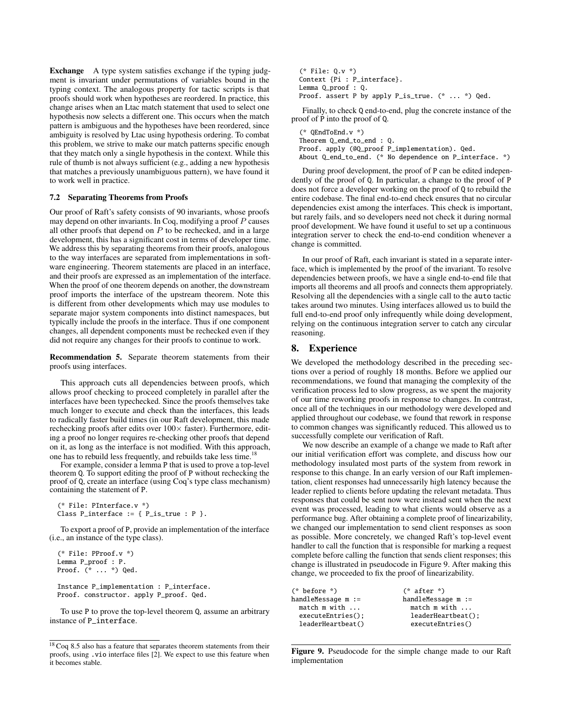Exchange A type system satisfies exchange if the typing judgment is invariant under permutations of variables bound in the typing context. The analogous property for tactic scripts is that proofs should work when hypotheses are reordered. In practice, this change arises when an Ltac match statement that used to select one hypothesis now selects a different one. This occurs when the match pattern is ambiguous and the hypotheses have been reordered, since ambiguity is resolved by Ltac using hypothesis ordering. To combat this problem, we strive to make our match patterns specific enough that they match only a single hypothesis in the context. While this rule of thumb is not always sufficient (e.g., adding a new hypothesis that matches a previously unambiguous pattern), we have found it to work well in practice.

#### <span id="page-9-1"></span>7.2 Separating Theorems from Proofs

Our proof of Raft's safety consists of 90 invariants, whose proofs may depend on other invariants. In Coq, modifying a proof  $P$  causes all other proofs that depend on  $P$  to be rechecked, and in a large development, this has a significant cost in terms of developer time. We address this by separating theorems from their proofs, analogous to the way interfaces are separated from implementations in software engineering. Theorem statements are placed in an interface, and their proofs are expressed as an implementation of the interface. When the proof of one theorem depends on another, the downstream proof imports the interface of the upstream theorem. Note this is different from other developments which may use modules to separate major system components into distinct namespaces, but typically include the proofs in the interface. Thus if one component changes, all dependent components must be rechecked even if they did not require any changes for their proofs to continue to work.

Recommendation 5. Separate theorem statements from their proofs using interfaces.

This approach cuts all dependencies between proofs, which allows proof checking to proceed completely in parallel after the interfaces have been typechecked. Since the proofs themselves take much longer to execute and check than the interfaces, this leads to radically faster build times (in our Raft development, this made rechecking proofs after edits over  $100\times$  faster). Furthermore, editing a proof no longer requires re-checking other proofs that depend on it, as long as the interface is not modified. With this approach, one has to rebuild less frequently, and rebuilds take less time.[18](#page-9-2)

For example, consider a lemma P that is used to prove a top-level theorem Q. To support editing the proof of P without rechecking the proof of Q, create an interface (using Coq's type class mechanism) containing the statement of P.

```
(* File: PInterface.v *)
Class P_interface := { P_is_true : P }.
```
To export a proof of P, provide an implementation of the interface (i.e., an instance of the type class).

```
(* File: PProof.v *)
Lemma P_proof : P.
Proof. (* ... *) Qed.
```

```
Instance P_implementation : P_interface.
Proof. constructor. apply P_proof. Qed.
```
To use P to prove the top-level theorem Q, assume an arbitrary instance of P\_interface.

(\* File: Q.v \*) Context {Pi : P\_interface}. Lemma Q\_proof : Q. Proof. assert P by apply P\_is\_true. (\* ... \*) Qed.

Finally, to check Q end-to-end, plug the concrete instance of the proof of P into the proof of Q.

| (* OEndToEnd.v *)                                       |  |
|---------------------------------------------------------|--|
| Theorem $Q_{end_to\_end : Q$ .                          |  |
| Proof. apply (@Q_proof P_implementation). Qed.          |  |
| About Q_end_to_end. (* No dependence on P_interface. *) |  |

During proof development, the proof of P can be edited independently of the proof of Q. In particular, a change to the proof of P does not force a developer working on the proof of Q to rebuild the entire codebase. The final end-to-end check ensures that no circular dependencies exist among the interfaces. This check is important, but rarely fails, and so developers need not check it during normal proof development. We have found it useful to set up a continuous integration server to check the end-to-end condition whenever a change is committed.

In our proof of Raft, each invariant is stated in a separate interface, which is implemented by the proof of the invariant. To resolve dependencies between proofs, we have a single end-to-end file that imports all theorems and all proofs and connects them appropriately. Resolving all the dependencies with a single call to the auto tactic takes around two minutes. Using interfaces allowed us to build the full end-to-end proof only infrequently while doing development, relying on the continuous integration server to catch any circular reasoning.

## <span id="page-9-0"></span>8. Experience

We developed the methodology described in the preceding sections over a period of roughly 18 months. Before we applied our recommendations, we found that managing the complexity of the verification process led to slow progress, as we spent the majority of our time reworking proofs in response to changes. In contrast, once all of the techniques in our methodology were developed and applied throughout our codebase, we found that rework in response to common changes was significantly reduced. This allowed us to successfully complete our verification of Raft.

We now describe an example of a change we made to Raft after our initial verification effort was complete, and discuss how our methodology insulated most parts of the system from rework in response to this change. In an early version of our Raft implementation, client responses had unnecessarily high latency because the leader replied to clients before updating the relevant metadata. Thus responses that could be sent now were instead sent when the next event was processed, leading to what clients would observe as a performance bug. After obtaining a complete proof of linearizability, we changed our implementation to send client responses as soon as possible. More concretely, we changed Raft's top-level event handler to call the function that is responsible for marking a request complete before calling the function that sends client responses; this change is illustrated in pseudocode in Figure [9.](#page-9-3) After making this change, we proceeded to fix the proof of linearizability.

| $(* \text{ after } *)$ |
|------------------------|
| handleMessage m :=     |
| match m with           |
| $leaderHeartbeat()$ :  |
| executeEntries()       |
|                        |

<span id="page-9-3"></span>Figure 9. Pseudocode for the simple change made to our Raft implementation

<span id="page-9-2"></span><sup>&</sup>lt;sup>18</sup> Coq 8.5 also has a feature that separates theorem statements from their proofs, using .vio interface files [\[2\]](#page-11-25). We expect to use this feature when it becomes stable.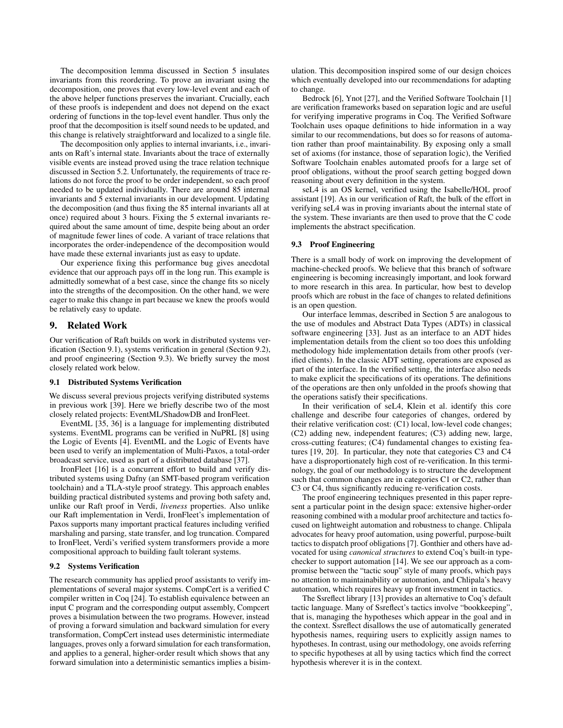The decomposition lemma discussed in Section [5](#page-6-0) insulates invariants from this reordering. To prove an invariant using the decomposition, one proves that every low-level event and each of the above helper functions preserves the invariant. Crucially, each of these proofs is independent and does not depend on the exact ordering of functions in the top-level event handler. Thus only the proof that the decomposition is itself sound needs to be updated, and this change is relatively straightforward and localized to a single file.

The decomposition only applies to internal invariants, i.e., invariants on Raft's internal state. Invariants about the trace of externally visible events are instead proved using the trace relation technique discussed in Section [5.2.](#page-6-1) Unfortunately, the requirements of trace relations do not force the proof to be order independent, so each proof needed to be updated individually. There are around 85 internal invariants and 5 external invariants in our development. Updating the decomposition (and thus fixing the 85 internal invariants all at once) required about 3 hours. Fixing the 5 external invariants required about the same amount of time, despite being about an order of magnitude fewer lines of code. A variant of trace relations that incorporates the order-independence of the decomposition would have made these external invariants just as easy to update.

Our experience fixing this performance bug gives anecdotal evidence that our approach pays off in the long run. This example is admittedly somewhat of a best case, since the change fits so nicely into the strengths of the decomposition. On the other hand, we were eager to make this change in part because we knew the proofs would be relatively easy to update.

## 9. Related Work

Our verification of Raft builds on work in distributed systems verification (Section [9.1\)](#page-10-0), systems verification in general (Section [9.2\)](#page-10-1), and proof engineering (Section [9.3\)](#page-10-2). We briefly survey the most closely related work below.

#### <span id="page-10-0"></span>9.1 Distributed Systems Verification

We discuss several previous projects verifying distributed systems in previous work [\[39\]](#page-11-1). Here we briefly describe two of the most closely related projects: EventML/ShadowDB and IronFleet.

EventML [\[35,](#page-11-26) [36\]](#page-11-27) is a language for implementing distributed systems. EventML programs can be verified in NuPRL [\[8\]](#page-11-28) using the Logic of Events [\[4\]](#page-11-29). EventML and the Logic of Events have been used to verify an implementation of Multi-Paxos, a total-order broadcast service, used as part of a distributed database [\[37\]](#page-11-30).

IronFleet [\[16\]](#page-11-31) is a concurrent effort to build and verify distributed systems using Dafny (an SMT-based program verification toolchain) and a TLA-style proof strategy. This approach enables building practical distributed systems and proving both safety and, unlike our Raft proof in Verdi, *liveness* properties. Also unlike our Raft implementation in Verdi, IronFleet's implementation of Paxos supports many important practical features including verified marshaling and parsing, state transfer, and log truncation. Compared to IronFleet, Verdi's verified system transformers provide a more compositional approach to building fault tolerant systems.

## <span id="page-10-1"></span>9.2 Systems Verification

The research community has applied proof assistants to verify implementations of several major systems. CompCert is a verified C compiler written in Coq [\[24\]](#page-11-32). To establish equivalence between an input C program and the corresponding output assembly, Compcert proves a bisimulation between the two programs. However, instead of proving a forward simulation and backward simulation for every transformation, CompCert instead uses deterministic intermediate languages, proves only a forward simulation for each transformation, and applies to a general, higher-order result which shows that any forward simulation into a deterministic semantics implies a bisimulation. This decomposition inspired some of our design choices which eventually developed into our recommendations for adapting to change.

Bedrock [\[6\]](#page-11-33), Ynot [\[27\]](#page-11-34), and the Verified Software Toolchain [\[1\]](#page-11-35) are verification frameworks based on separation logic and are useful for verifying imperative programs in Coq. The Verified Software Toolchain uses opaque definitions to hide information in a way similar to our recommendations, but does so for reasons of automation rather than proof maintainability. By exposing only a small set of axioms (for instance, those of separation logic), the Verified Software Toolchain enables automated proofs for a large set of proof obligations, without the proof search getting bogged down reasoning about every definition in the system.

seL4 is an OS kernel, verified using the Isabelle/HOL proof assistant [\[19\]](#page-11-36). As in our verification of Raft, the bulk of the effort in verifying seL4 was in proving invariants about the internal state of the system. These invariants are then used to prove that the C code implements the abstract specification.

#### <span id="page-10-2"></span>9.3 Proof Engineering

There is a small body of work on improving the development of machine-checked proofs. We believe that this branch of software engineering is becoming increasingly important, and look forward to more research in this area. In particular, how best to develop proofs which are robust in the face of changes to related definitions is an open question.

Our interface lemmas, described in Section [5](#page-6-0) are analogous to the use of modules and Abstract Data Types (ADTs) in classical software engineering [\[33\]](#page-11-15). Just as an interface to an ADT hides implementation details from the client so too does this unfolding methodology hide implementation details from other proofs (verified clients). In the classic ADT setting, operations are exposed as part of the interface. In the verified setting, the interface also needs to make explicit the specifications of its operations. The definitions of the operations are then only unfolded in the proofs showing that the operations satisfy their specifications.

In their verification of seL4, Klein et al. identify this core challenge and describe four categories of changes, ordered by their relative verification cost: (C1) local, low-level code changes; (C2) adding new, independent features; (C3) adding new, large, cross-cutting features; (C4) fundamental changes to existing features [\[19,](#page-11-36) [20\]](#page-11-37). In particular, they note that categories C3 and C4 have a disproportionately high cost of re-verification. In this terminology, the goal of our methodology is to structure the development such that common changes are in categories C1 or C2, rather than C3 or C4, thus significantly reducing re-verification costs.

The proof engineering techniques presented in this paper represent a particular point in the design space: extensive higher-order reasoning combined with a modular proof architecture and tactics focused on lightweight automation and robustness to change. Chlipala advocates for heavy proof automation, using powerful, purpose-built tactics to dispatch proof obligations [\[7\]](#page-11-22). Gonthier and others have advocated for using *canonical structures* to extend Coq's built-in typechecker to support automation [\[14\]](#page-11-38). We see our approach as a compromise between the "tactic soup" style of many proofs, which pays no attention to maintainability or automation, and Chlipala's heavy automation, which requires heavy up front investment in tactics.

The Ssreflect library [\[13\]](#page-11-21) provides an alternative to Coq's default tactic language. Many of Ssreflect's tactics involve "bookkeeping", that is, managing the hypotheses which appear in the goal and in the context. Ssreflect disallows the use of automatically generated hypothesis names, requiring users to explicitly assign names to hypotheses. In contrast, using our methodology, one avoids referring to specific hypotheses at all by using tactics which find the correct hypothesis wherever it is in the context.